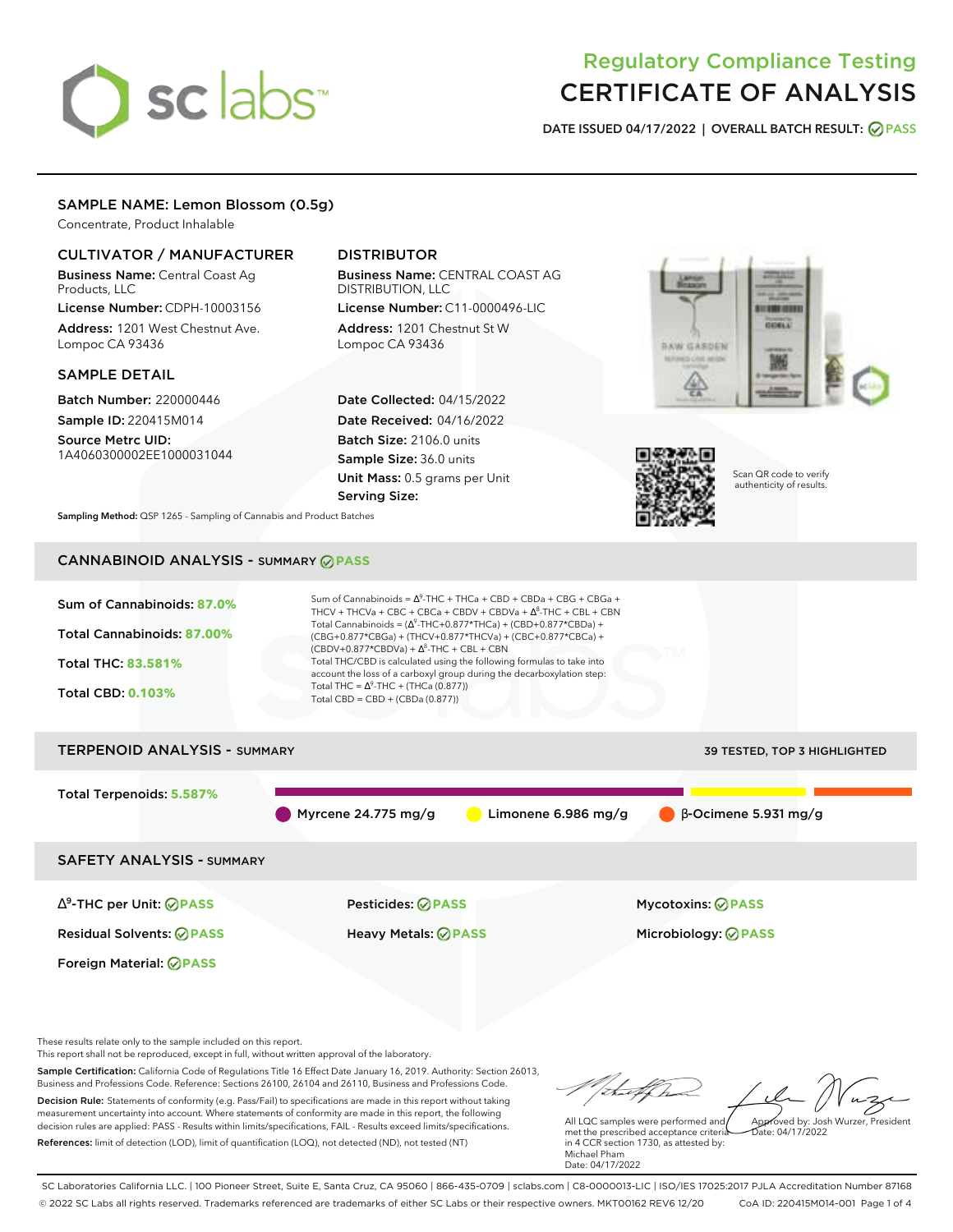# sclabs<sup>\*</sup>

# Regulatory Compliance Testing CERTIFICATE OF ANALYSIS

**DATE ISSUED 04/17/2022 | OVERALL BATCH RESULT: PASS**

### SAMPLE NAME: Lemon Blossom (0.5g)

Concentrate, Product Inhalable

### CULTIVATOR / MANUFACTURER

Business Name: Central Coast Ag Products, LLC

License Number: CDPH-10003156 Address: 1201 West Chestnut Ave. Lompoc CA 93436

#### SAMPLE DETAIL

Batch Number: 220000446 Sample ID: 220415M014 Source Metrc UID:

1A4060300002EE1000031044

## DISTRIBUTOR

Business Name: CENTRAL COAST AG DISTRIBUTION, LLC License Number: C11-0000496-LIC

Address: 1201 Chestnut St W Lompoc CA 93436

Date Collected: 04/15/2022 Date Received: 04/16/2022 Batch Size: 2106.0 units Sample Size: 36.0 units Unit Mass: 0.5 grams per Unit Serving Size:





Scan QR code to verify authenticity of results.

**Sampling Method:** QSP 1265 - Sampling of Cannabis and Product Batches

# CANNABINOID ANALYSIS - SUMMARY **PASS**



Sample Certification: California Code of Regulations Title 16 Effect Date January 16, 2019. Authority: Section 26013, Business and Professions Code. Reference: Sections 26100, 26104 and 26110, Business and Professions Code. Decision Rule: Statements of conformity (e.g. Pass/Fail) to specifications are made in this report without taking measurement uncertainty into account. Where statements of conformity are made in this report, the following decision rules are applied: PASS - Results within limits/specifications, FAIL - Results exceed limits/specifications. References: limit of detection (LOD), limit of quantification (LOQ), not detected (ND), not tested (NT)

All LQC samples were performed and met the prescribed acceptance criteria in 4 CCR section 1730, as attested by: Michael Pham Date: 04/17/2022 Approved by: Josh Wurzer, President Date: 04/17/2022

tal f h

SC Laboratories California LLC. | 100 Pioneer Street, Suite E, Santa Cruz, CA 95060 | 866-435-0709 | sclabs.com | C8-0000013-LIC | ISO/IES 17025:2017 PJLA Accreditation Number 87168 © 2022 SC Labs all rights reserved. Trademarks referenced are trademarks of either SC Labs or their respective owners. MKT00162 REV6 12/20 CoA ID: 220415M014-001 Page 1 of 4